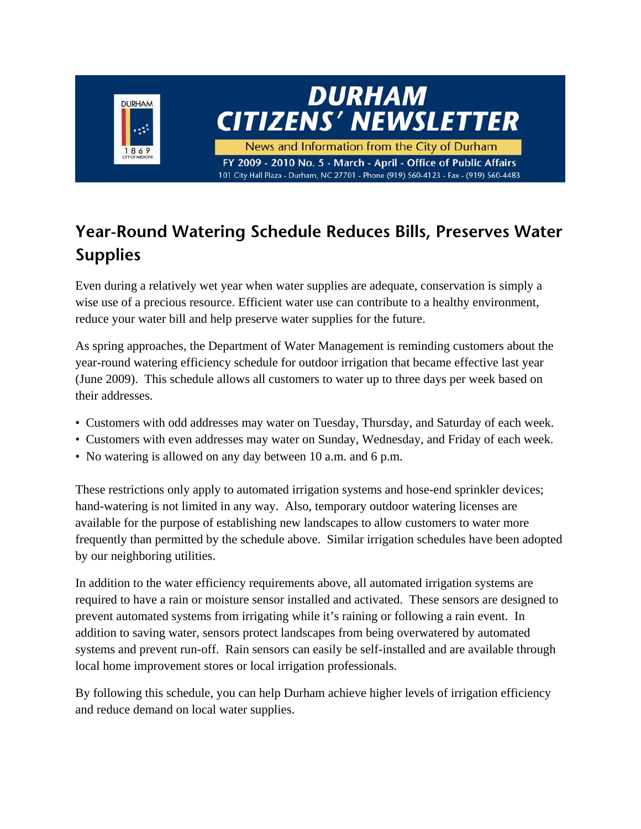

# **Year-Round Watering Schedule Reduces Bills, Preserves Water Supplies**

Even during a relatively wet year when water supplies are adequate, conservation is simply a wise use of a precious resource. Efficient water use can contribute to a healthy environment, reduce your water bill and help preserve water supplies for the future.

As spring approaches, the Department of Water Management is reminding customers about the year-round watering efficiency schedule for outdoor irrigation that became effective last year (June 2009). This schedule allows all customers to water up to three days per week based on their addresses.

- Customers with odd addresses may water on Tuesday, Thursday, and Saturday of each week.
- Customers with even addresses may water on Sunday, Wednesday, and Friday of each week.
- No watering is allowed on any day between 10 a.m. and 6 p.m.

These restrictions only apply to automated irrigation systems and hose-end sprinkler devices; hand-watering is not limited in any way. Also, temporary outdoor watering licenses are available for the purpose of establishing new landscapes to allow customers to water more frequently than permitted by the schedule above. Similar irrigation schedules have been adopted by our neighboring utilities.

In addition to the water efficiency requirements above, all automated irrigation systems are required to have a rain or moisture sensor installed and activated. These sensors are designed to prevent automated systems from irrigating while it's raining or following a rain event. In addition to saving water, sensors protect landscapes from being overwatered by automated systems and prevent run-off. Rain sensors can easily be self-installed and are available through local home improvement stores or local irrigation professionals.

By following this schedule, you can help Durham achieve higher levels of irrigation efficiency and reduce demand on local water supplies.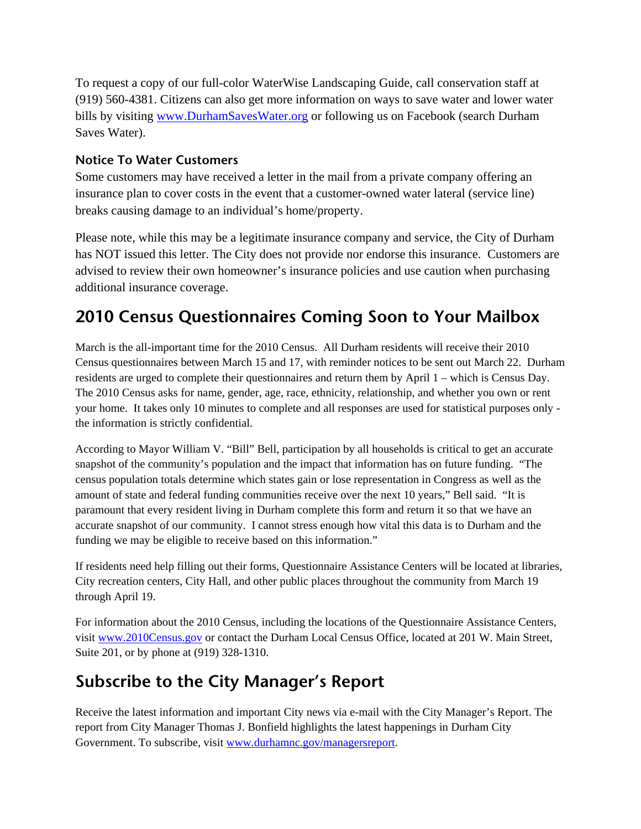To request a copy of our full-color WaterWise Landscaping Guide, call conservation staff at (919) 560-4381. Citizens can also get more information on ways to save water and lower water bills by visiting www.DurhamSavesWater.org or following us on Facebook (search Durham Saves Water).

#### **Notice To Water Customers**

Some customers may have received a letter in the mail from a private company offering an insurance plan to cover costs in the event that a customer-owned water lateral (service line) breaks causing damage to an individual's home/property.

Please note, while this may be a legitimate insurance company and service, the City of Durham has NOT issued this letter. The City does not provide nor endorse this insurance. Customers are advised to review their own homeowner's insurance policies and use caution when purchasing additional insurance coverage.

## **2010 Census Questionnaires Coming Soon to Your Mailbox**

March is the all-important time for the 2010 Census. All Durham residents will receive their 2010 Census questionnaires between March 15 and 17, with reminder notices to be sent out March 22. Durham residents are urged to complete their questionnaires and return them by April 1 – which is Census Day. The 2010 Census asks for name, gender, age, race, ethnicity, relationship, and whether you own or rent your home. It takes only 10 minutes to complete and all responses are used for statistical purposes only the information is strictly confidential.

According to Mayor William V. "Bill" Bell, participation by all households is critical to get an accurate snapshot of the community's population and the impact that information has on future funding. "The census population totals determine which states gain or lose representation in Congress as well as the amount of state and federal funding communities receive over the next 10 years," Bell said. "It is paramount that every resident living in Durham complete this form and return it so that we have an accurate snapshot of our community. I cannot stress enough how vital this data is to Durham and the funding we may be eligible to receive based on this information."

If residents need help filling out their forms, Questionnaire Assistance Centers will be located at libraries, City recreation centers, City Hall, and other public places throughout the community from March 19 through April 19.

For information about the 2010 Census, including the locations of the Questionnaire Assistance Centers, visit www.2010Census.gov or contact the Durham Local Census Office, located at 201 W. Main Street, Suite 201, or by phone at (919) 328-1310.

#### **Subscribe to the City Manager's Report**

Receive the latest information and important City news via e-mail with the City Manager's Report. The report from City Manager Thomas J. Bonfield highlights the latest happenings in Durham City Government. To subscribe, visit www.durhamnc.gov/managersreport.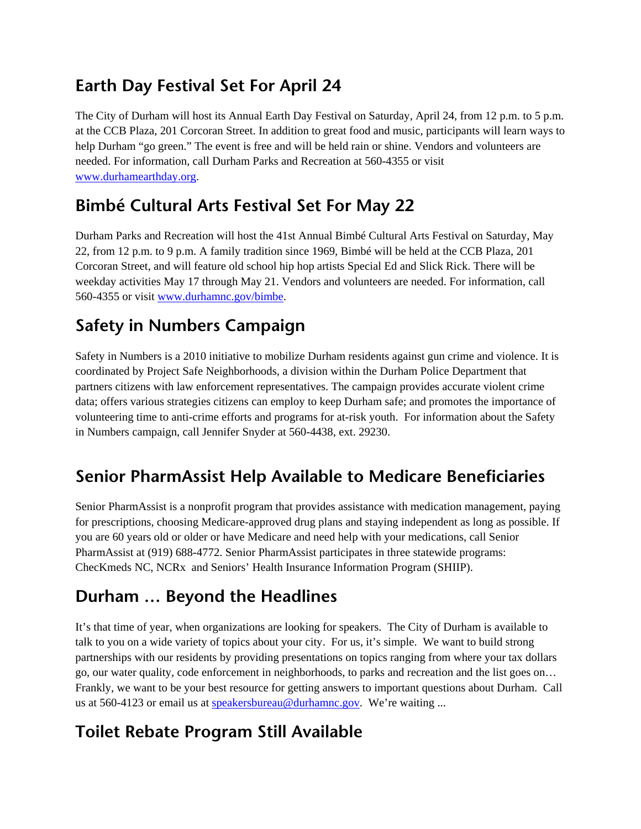## **Earth Day Festival Set For April 24**

The City of Durham will host its Annual Earth Day Festival on Saturday, April 24, from 12 p.m. to 5 p.m. at the CCB Plaza, 201 Corcoran Street. In addition to great food and music, participants will learn ways to help Durham "go green." The event is free and will be held rain or shine. Vendors and volunteers are needed. For information, call Durham Parks and Recreation at 560-4355 or visit www.durhamearthday.org.

## **Bimbé Cultural Arts Festival Set For May 22**

Durham Parks and Recreation will host the 41st Annual Bimbé Cultural Arts Festival on Saturday, May 22, from 12 p.m. to 9 p.m. A family tradition since 1969, Bimbé will be held at the CCB Plaza, 201 Corcoran Street, and will feature old school hip hop artists Special Ed and Slick Rick. There will be weekday activities May 17 through May 21. Vendors and volunteers are needed. For information, call 560-4355 or visit www.durhamnc.gov/bimbe.

# **Safety in Numbers Campaign**

Safety in Numbers is a 2010 initiative to mobilize Durham residents against gun crime and violence. It is coordinated by Project Safe Neighborhoods, a division within the Durham Police Department that partners citizens with law enforcement representatives. The campaign provides accurate violent crime data; offers various strategies citizens can employ to keep Durham safe; and promotes the importance of volunteering time to anti-crime efforts and programs for at-risk youth. For information about the Safety in Numbers campaign, call Jennifer Snyder at 560-4438, ext. 29230.

# **Senior PharmAssist Help Available to Medicare Beneficiaries**

Senior PharmAssist is a nonprofit program that provides assistance with medication management, paying for prescriptions, choosing Medicare-approved drug plans and staying independent as long as possible. If you are 60 years old or older or have Medicare and need help with your medications, call Senior PharmAssist at (919) 688-4772. Senior PharmAssist participates in three statewide programs: ChecKmeds NC, NCRx and Seniors' Health Insurance Information Program (SHIIP).

## **Durham … Beyond the Headlines**

It's that time of year, when organizations are looking for speakers. The City of Durham is available to talk to you on a wide variety of topics about your city. For us, it's simple. We want to build strong partnerships with our residents by providing presentations on topics ranging from where your tax dollars go, our water quality, code enforcement in neighborhoods, to parks and recreation and the list goes on… Frankly, we want to be your best resource for getting answers to important questions about Durham. Call us at 560-4123 or email us at speakersbureau@durhamnc.gov. We're waiting ...

# **Toilet Rebate Program Still Available**